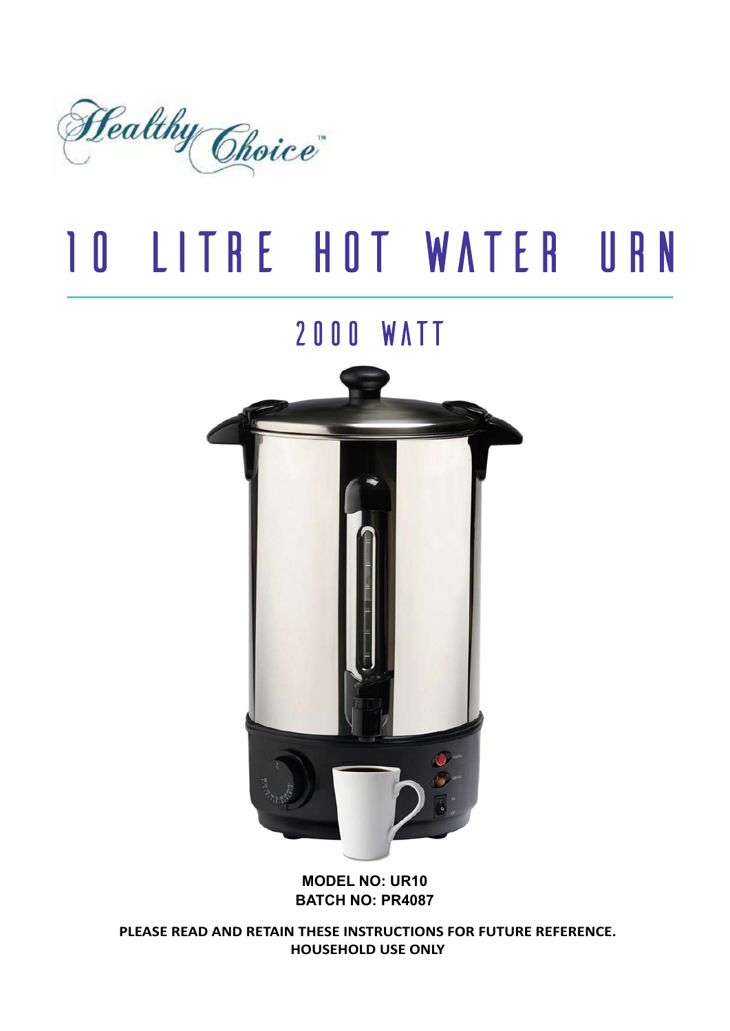

# **10 LITRE HOT WATER URN**

# **2000 WATT**



#### **MODEL NO: UR10 BATCH NO: PR4087**

**PLEASE READ AND RETAIN THESE INSTRUCTIONS FOR FUTURE REFERENCE. HOUSEHOLD USE ONLY**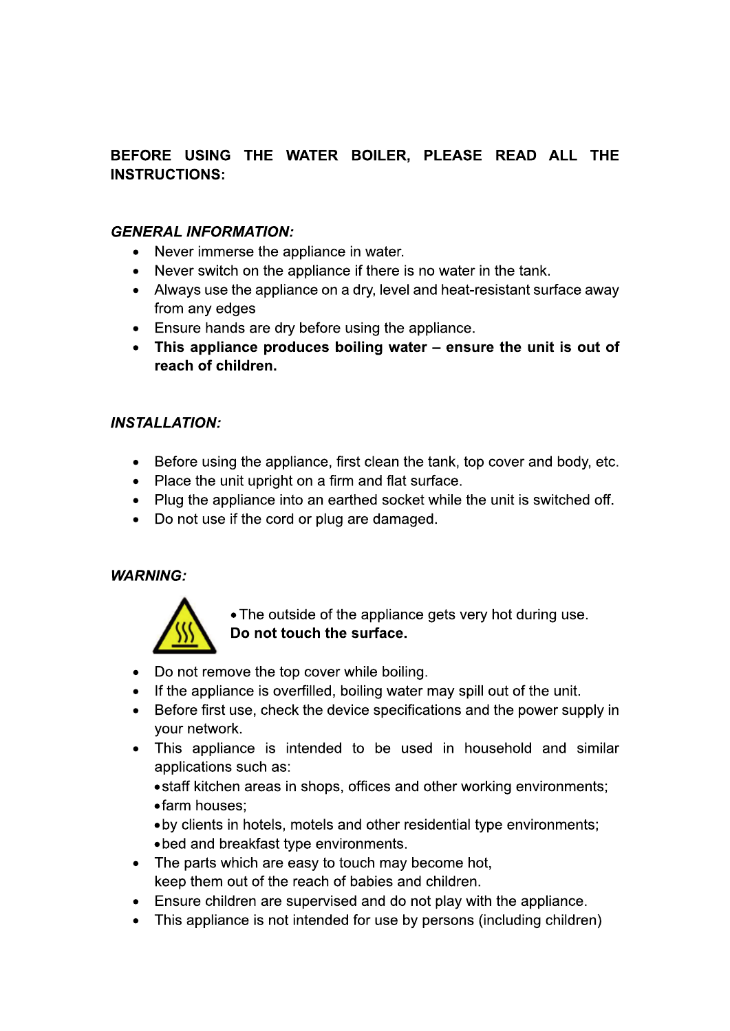# BEFORE USING THE WATER BOILER. PLEASE READ ALL THE **INSTRUCTIONS:**

# **GENERAL INFORMATION:**

- Never immerse the appliance in water.  $\bullet$
- Never switch on the appliance if there is no water in the tank.
- Always use the appliance on a dry, level and heat-resistant surface away from any edges
- Ensure hands are dry before using the appliance.
- This appliance produces boiling water ensure the unit is out of reach of children.

#### **INSTALLATION:**

- Before using the appliance, first clean the tank, top cover and body, etc.
- Place the unit upright on a firm and flat surface.
- Plug the appliance into an earthed socket while the unit is switched off.
- Do not use if the cord or plug are damaged.

#### **WARNING:**



• The outside of the appliance gets very hot during use. Do not touch the surface.

- Do not remove the top cover while boiling.
- If the appliance is overfilled, boiling water may spill out of the unit.
- Before first use, check the device specifications and the power supply in  $\bullet$ your network.
- This appliance is intended to be used in household and similar applications such as:
	- staff kitchen areas in shops, offices and other working environments;
	- farm houses:
	- by clients in hotels, motels and other residential type environments;
	- bed and breakfast type environments.
- The parts which are easy to touch may become hot, keep them out of the reach of babies and children.
- Ensure children are supervised and do not play with the appliance.
- This appliance is not intended for use by persons (including children)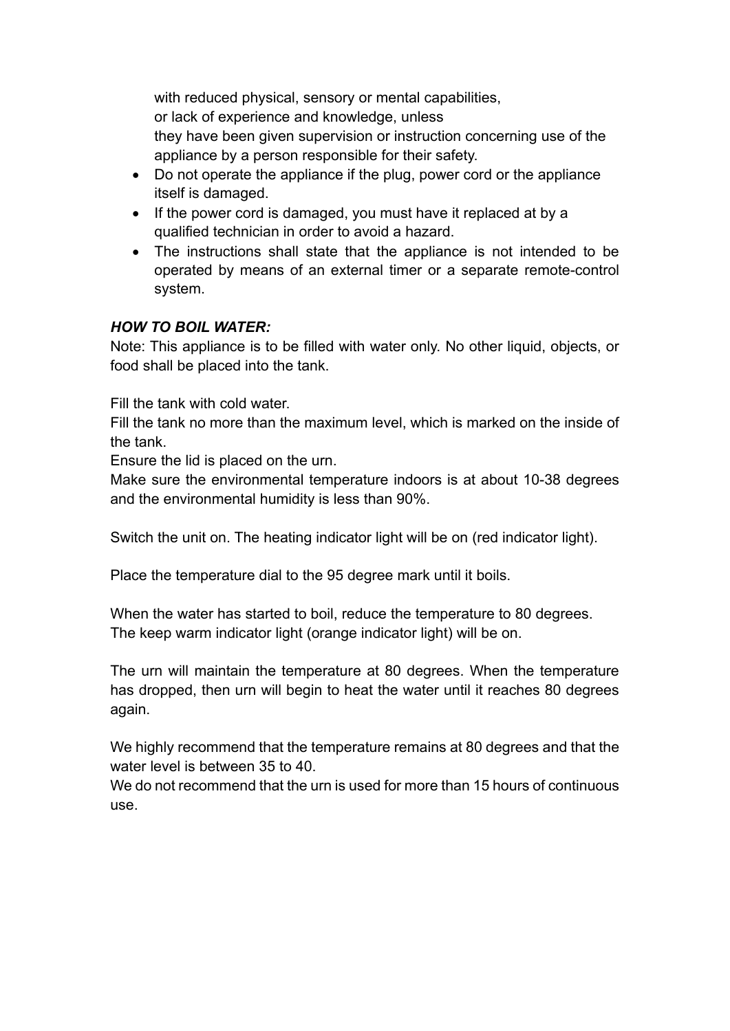with reduced physical, sensory or mental capabilities, or lack of experience and knowledge, unless they have been given supervision or instruction concerning use of the appliance by a person responsible for their safety.

- Do not operate the appliance if the plug, power cord or the appliance itself is damaged.
- If the power cord is damaged, you must have it replaced at by a qualified technician in order to avoid a hazard.
- The instructions shall state that the appliance is not intended to be operated by means of an external timer or a separate remote-control system.

# *HOW TO BOIL WATER:*

Note: This appliance is to be filled with water only. No other liquid, objects, or food shall be placed into the tank.

Fill the tank with cold water.

Fill the tank no more than the maximum level, which is marked on the inside of the tank.

Ensure the lid is placed on the urn.

Make sure the environmental temperature indoors is at about 10-38 degrees and the environmental humidity is less than 90%.

Switch the unit on. The heating indicator light will be on (red indicator light).

Place the temperature dial to the 95 degree mark until it boils.

When the water has started to boil, reduce the temperature to 80 degrees. The keep warm indicator light (orange indicator light) will be on.

The urn will maintain the temperature at 80 degrees. When the temperature has dropped, then urn will begin to heat the water until it reaches 80 degrees again.

We highly recommend that the temperature remains at 80 degrees and that the water level is between 35 to 40.

We do not recommend that the urn is used for more than 15 hours of continuous use.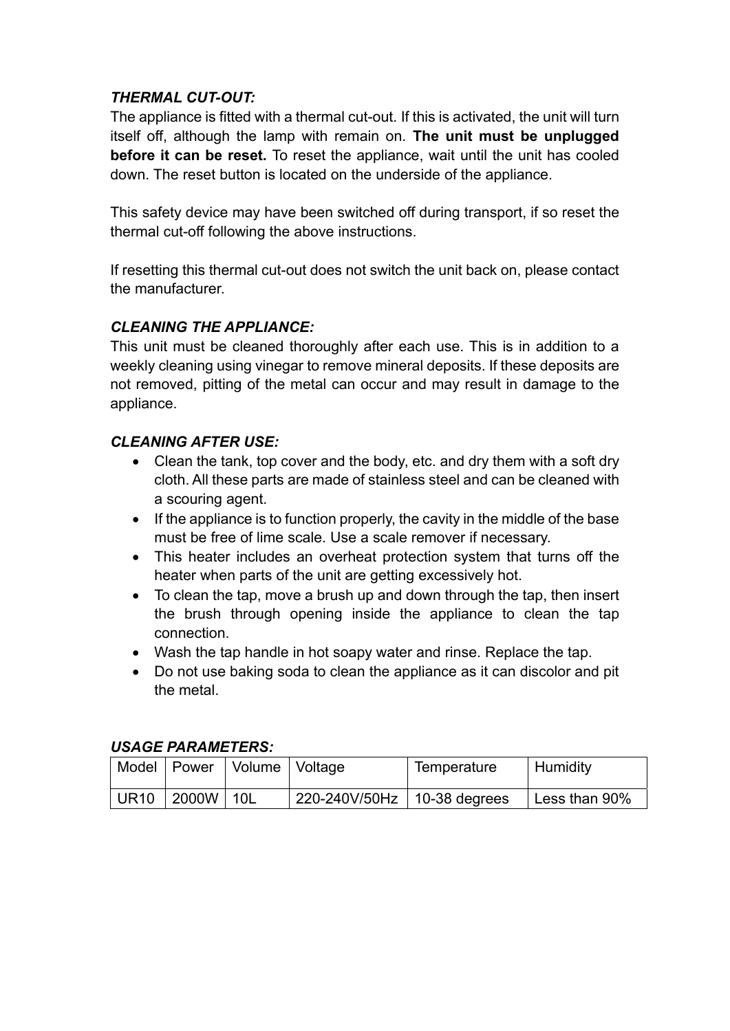# *THERMAL CUT-OUT:*

The appliance is fitted with a thermal cut-out. If this is activated, the unit will turn itself off, although the lamp with remain on. **The unit must be unplugged before it can be reset.** To reset the appliance, wait until the unit has cooled down. The reset button is located on the underside of the appliance.

This safety device may have been switched off during transport, if so reset the thermal cut-off following the above instructions.

If resetting this thermal cut-out does not switch the unit back on, please contact the manufacturer.

# *CLEANING THE APPLIANCE:*

This unit must be cleaned thoroughly after each use. This is in addition to a weekly cleaning using vinegar to remove mineral deposits. If these deposits are not removed, pitting of the metal can occur and may result in damage to the appliance.

# *CLEANING AFTER USE:*

- Clean the tank, top cover and the body, etc. and dry them with a soft dry cloth. All these parts are made of stainless steel and can be cleaned with a scouring agent.
- $\bullet$  If the appliance is to function properly, the cavity in the middle of the base must be free of lime scale. Use a scale remover if necessary.
- This heater includes an overheat protection system that turns off the heater when parts of the unit are getting excessively hot.
- $\bullet$  To clean the tap, move a brush up and down through the tap, then insert the brush through opening inside the appliance to clean the tap connection.
- Wash the tap handle in hot soapy water and rinse. Replace the tap.
- Do not use baking soda to clean the appliance as it can discolor and pit the metal.

# *USAGE PARAMETERS:*

|              |                 | Model   Power   Volume   Voltage | Temperature | ∣ Humidity    |
|--------------|-----------------|----------------------------------|-------------|---------------|
| UR10   2000W | $\overline{10}$ | 220-240V/50Hz   10-38 degrees    |             | Less than 90% |